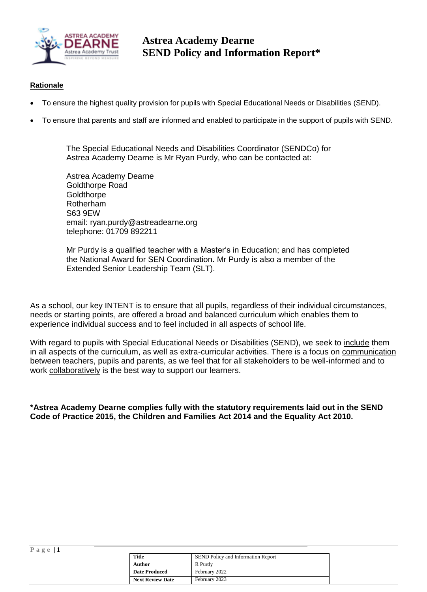

**Astrea Academy Dearne SEND Policy and Information Report\***

#### **Rationale**

**P a g e | 1**

- To ensure the highest quality provision for pupils with Special Educational Needs or Disabilities (SEND).
- To ensure that parents and staff are informed and enabled to participate in the support of pupils with SEND.

The Special Educational Needs and Disabilities Coordinator (SENDCo) for Astrea Academy Dearne is Mr Ryan Purdy, who can be contacted at:

Astrea Academy Dearne Goldthorpe Road **Goldthorpe** Rotherham S63 9EW email: ryan.purdy@astreadearne.org telephone: 01709 892211

Mr Purdy is a qualified teacher with a Master's in Education; and has completed the National Award for SEN Coordination. Mr Purdy is also a member of the Extended Senior Leadership Team (SLT).

As a school, our key INTENT is to ensure that all pupils, regardless of their individual circumstances, needs or starting points, are offered a broad and balanced curriculum which enables them to experience individual success and to feel included in all aspects of school life.

With regard to pupils with Special Educational Needs or Disabilities (SEND), we seek to include them in all aspects of the curriculum, as well as extra-curricular activities. There is a focus on communication between teachers, pupils and parents, as we feel that for all stakeholders to be well-informed and to work collaboratively is the best way to support our learners.

**\*Astrea Academy Dearne complies fully with the statutory requirements laid out in the SEND Code of Practice 2015, the Children and Families Act 2014 and the Equality Act 2010.**

| <b>Title</b>            | <b>SEND Policy and Information Report</b> |
|-------------------------|-------------------------------------------|
| Author                  | R Purdy                                   |
| <b>Date Produced</b>    | February 2022                             |
| <b>Next Review Date</b> | February 2023                             |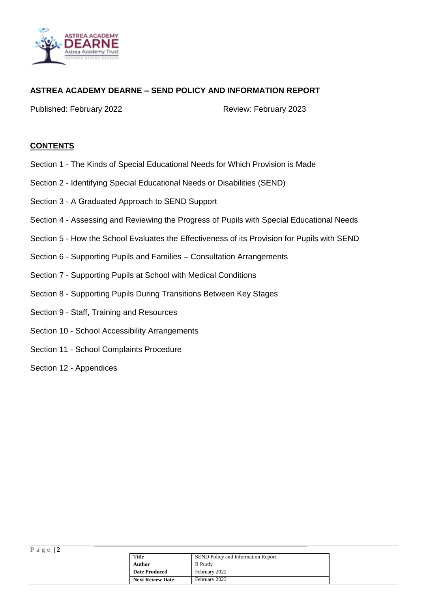

### **ASTREA ACADEMY DEARNE – SEND POLICY AND INFORMATION REPORT**

Published: February 2022 Review: February 2023

#### **CONTENTS**

- Section 1 The Kinds of Special Educational Needs for Which Provision is Made
- Section 2 Identifying Special Educational Needs or Disabilities (SEND)
- Section 3 A Graduated Approach to SEND Support
- Section 4 Assessing and Reviewing the Progress of Pupils with Special Educational Needs
- Section 5 How the School Evaluates the Effectiveness of its Provision for Pupils with SEND
- Section 6 Supporting Pupils and Families Consultation Arrangements
- Section 7 Supporting Pupils at School with Medical Conditions
- Section 8 Supporting Pupils During Transitions Between Key Stages
- Section 9 Staff, Training and Resources
- Section 10 School Accessibility Arrangements
- Section 11 School Complaints Procedure
- Section 12 Appendices

|                      | Title                   | <b>SEND Policy and Information Report</b> |
|----------------------|-------------------------|-------------------------------------------|
|                      | <b>Author</b>           | R Purdy                                   |
| <b>Date Produced</b> |                         | February 2022                             |
|                      | <b>Next Review Date</b> | February 2023                             |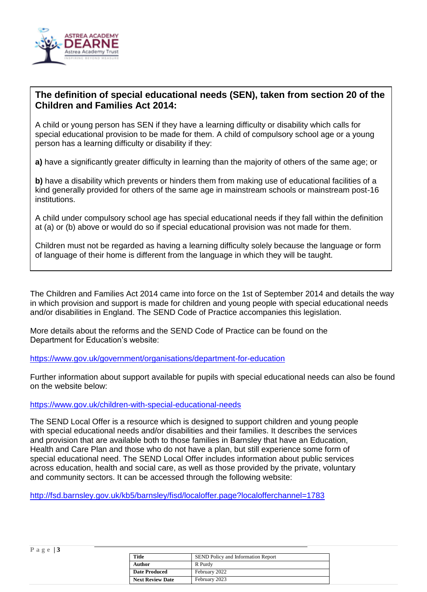

## **The definition of special educational needs (SEN), taken from section 20 of the Children and Families Act 2014:**

A child or young person has SEN if they have a learning difficulty or disability which calls for special educational provision to be made for them. A child of compulsory school age or a young person has a learning difficulty or disability if they:

**a)** have a significantly greater difficulty in learning than the majority of others of the same age; or

**b)** have a disability which prevents or hinders them from making use of educational facilities of a kind generally provided for others of the same age in mainstream schools or mainstream post-16 institutions.

A child under compulsory school age has special educational needs if they fall within the definition at (a) or (b) above or would do so if special educational provision was not made for them.

Children must not be regarded as having a learning difficulty solely because the language or form of language of their home is different from the language in which they will be taught.

The Children and Families Act 2014 came into force on the 1st of September 2014 and details the way in which provision and support is made for children and young people with special educational needs and/or disabilities in England. The SEND Code of Practice accompanies this legislation.

More details about the reforms and the SEND Code of Practice can be found on the Department for Education's website:

<https://www.gov.uk/government/organisations/department-for-education>

Further information about support available for pupils with special educational needs can also be found on the website below:

<https://www.gov.uk/children-with-special-educational-needs>

The SEND Local Offer is a resource which is designed to support children and young people with special educational needs and/or disabilities and their families. It describes the services and provision that are available both to those families in Barnsley that have an Education, Health and Care Plan and those who do not have a plan, but still experience some form of special educational need. The SEND Local Offer includes information about public services across education, health and social care, as well as those provided by the private, voluntary and community sectors. It can be accessed through the following website:

<http://fsd.barnsley.gov.uk/kb5/barnsley/fisd/localoffer.page?localofferchannel=1783>

|--|--|--|--|--|

| <b>Title</b>            | SEND Policy and Information Report |
|-------------------------|------------------------------------|
| Author                  | R Purdy                            |
| <b>Date Produced</b>    | February 2022                      |
| <b>Next Review Date</b> | February 2023                      |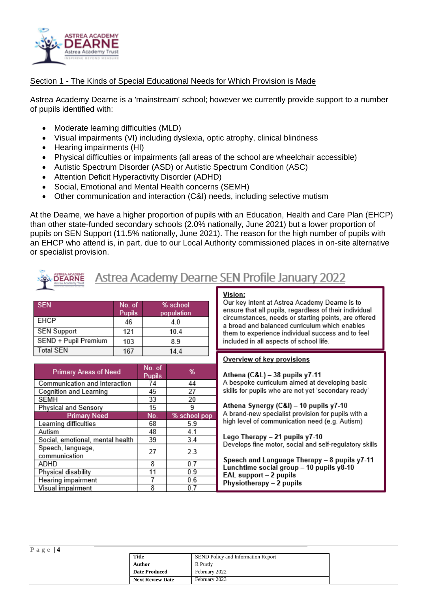

#### Section 1 - The Kinds of Special Educational Needs for Which Provision is Made

Astrea Academy Dearne is a 'mainstream' school; however we currently provide support to a number of pupils identified with:

- Moderate learning difficulties (MLD)
- Visual impairments (VI) including dyslexia, optic atrophy, clinical blindness
- Hearing impairments (HI)
- Physical difficulties or impairments (all areas of the school are wheelchair accessible)
- Autistic Spectrum Disorder (ASD) or Autistic Spectrum Condition (ASC)
- Attention Deficit Hyperactivity Disorder (ADHD)
- Social, Emotional and Mental Health concerns (SEMH)
- Other communication and interaction (C&I) needs, including selective mutism

At the Dearne, we have a higher proportion of pupils with an Education, Health and Care Plan (EHCP) than other state-funded secondary schools (2.0% nationally, June 2021) but a lower proportion of pupils on SEN Support (11.5% nationally, June 2021). The reason for the high number of pupils with an EHCP who attend is, in part, due to our Local Authority commissioned places in on-site alternative or specialist provision.

| EARNE  |
|--------|
| direta |
|        |

# Astrea Academy Dearne SEN Profile January 2022

| <b>SEN</b>           | No. of<br><b>Pupils</b> | % school<br>population |
|----------------------|-------------------------|------------------------|
| EHCP                 | 46                      | 40                     |
| <b>SEN Support</b>   | 121                     | 10.4                   |
| SEND + Pupil Premium | 103                     | 8.9                    |
| <b>Total SEN</b>     | 167                     | 14.4                   |

| <b>Primary Areas of Need</b>       | No. of<br>Pupils | %            |
|------------------------------------|------------------|--------------|
| Communication and Interaction      | 74               | 44           |
| Cognition and Learning             | 45               | 27           |
| <b>SEMH</b>                        | 33               | 20           |
| Physical and Sensory               | 15               | 9            |
| <b>Primary Need</b>                | No.              | % school pop |
| Learning difficulties              | 68               | 5.9          |
| Autism                             | 48               | 4.1          |
| Social, emotional, mental health   | 39               | 3.4          |
| Speech, language,<br>communication | 27               | 2.3          |
| ADHD                               | 8                | 0.7          |
| Physical disability                | 11               | 0.9          |
| Hearing impairment                 |                  | 0.6          |
| Visual impairment                  | 8                | 0.7          |

#### Vision:

Our key intent at Astrea Academy Dearne is to ensure that all pupils, regardless of their individual circumstances, needs or starting points, are offered a broad and balanced curriculum which enables them to experience individual success and to feel included in all aspects of school life.

#### Overview of key provisions

Athena (C&L) - 38 pupils y7-11 A bespoke curriculum aimed at developing basic skills for pupils who are not yet 'secondary ready'

Athena Synergy (C&I) - 10 pupils y7-10 A brand-new specialist provision for pupils with a high level of communication need (e.g. Autism)

Lego Therapy - 21 pupils y7-10 Develops fine motor, social and self-regulatory skills

Speech and Language Therapy - 8 pupils y7-11 Lunchtime social group - 10 pupils y8-10 EAL support – 2 pupils Physiotherapy - 2 pupils

| <b>Title</b>            | <b>SEND Policy and Information Report</b> |
|-------------------------|-------------------------------------------|
| Author                  | R Purdy                                   |
| <b>Date Produced</b>    | February 2022                             |
| <b>Next Review Date</b> | February 2023                             |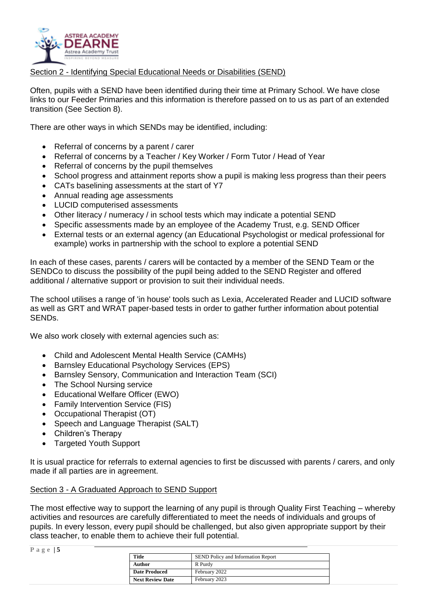

Section 2 - Identifying Special Educational Needs or Disabilities (SEND)

Often, pupils with a SEND have been identified during their time at Primary School. We have close links to our Feeder Primaries and this information is therefore passed on to us as part of an extended transition (See Section 8).

There are other ways in which SENDs may be identified, including:

- Referral of concerns by a parent / carer
- Referral of concerns by a Teacher / Key Worker / Form Tutor / Head of Year
- Referral of concerns by the pupil themselves
- School progress and attainment reports show a pupil is making less progress than their peers
- CATs baselining assessments at the start of Y7
- Annual reading age assessments
- LUCID computerised assessments
- Other literacy / numeracy / in school tests which may indicate a potential SEND
- Specific assessments made by an employee of the Academy Trust, e.g. SEND Officer
- External tests or an external agency (an Educational Psychologist or medical professional for example) works in partnership with the school to explore a potential SEND

In each of these cases, parents / carers will be contacted by a member of the SEND Team or the SENDCo to discuss the possibility of the pupil being added to the SEND Register and offered additional / alternative support or provision to suit their individual needs.

The school utilises a range of 'in house' tools such as Lexia, Accelerated Reader and LUCID software as well as GRT and WRAT paper-based tests in order to gather further information about potential SENDs.

We also work closely with external agencies such as:

- Child and Adolescent Mental Health Service (CAMHs)
- Barnsley Educational Psychology Services (EPS)
- Barnsley Sensory, Communication and Interaction Team (SCI)
- The School Nursing service
- Educational Welfare Officer (EWO)
- Family Intervention Service (FIS)
- Occupational Therapist (OT)
- Speech and Language Therapist (SALT)
- Children's Therapy
- Targeted Youth Support

It is usual practice for referrals to external agencies to first be discussed with parents / carers, and only made if all parties are in agreement.

#### Section 3 - A Graduated Approach to SEND Support

The most effective way to support the learning of any pupil is through Quality First Teaching – whereby activities and resources are carefully differentiated to meet the needs of individuals and groups of pupils. In every lesson, every pupil should be challenged, but also given appropriate support by their class teacher, to enable them to achieve their full potential.

| Page $ 5 $ |                         |                                    |  |
|------------|-------------------------|------------------------------------|--|
|            | Title                   | SEND Policy and Information Report |  |
|            | Author                  | R Purdy                            |  |
|            | <b>Date Produced</b>    | February 2022                      |  |
|            | <b>Next Review Date</b> | February 2023                      |  |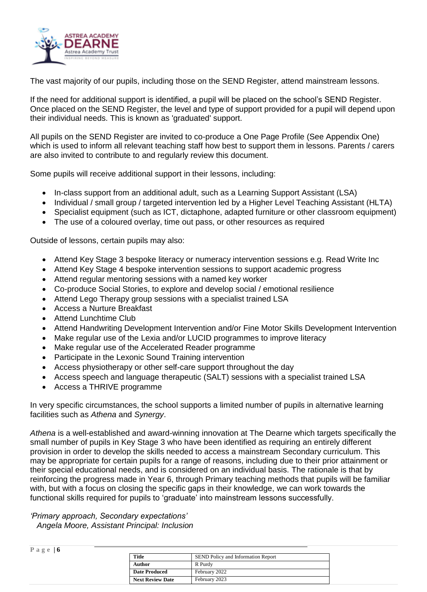

The vast majority of our pupils, including those on the SEND Register, attend mainstream lessons.

If the need for additional support is identified, a pupil will be placed on the school's SEND Register. Once placed on the SEND Register, the level and type of support provided for a pupil will depend upon their individual needs. This is known as 'graduated' support.

All pupils on the SEND Register are invited to co-produce a One Page Profile (See Appendix One) which is used to inform all relevant teaching staff how best to support them in lessons. Parents / carers are also invited to contribute to and regularly review this document.

Some pupils will receive additional support in their lessons, including:

- In-class support from an additional adult, such as a Learning Support Assistant (LSA)
- Individual / small group / targeted intervention led by a Higher Level Teaching Assistant (HLTA)
- Specialist equipment (such as ICT, dictaphone, adapted furniture or other classroom equipment)
- The use of a coloured overlay, time out pass, or other resources as required

Outside of lessons, certain pupils may also:

- Attend Key Stage 3 bespoke literacy or numeracy intervention sessions e.g. Read Write Inc
- Attend Key Stage 4 bespoke intervention sessions to support academic progress
- Attend regular mentoring sessions with a named key worker
- Co-produce Social Stories, to explore and develop social / emotional resilience
- Attend Lego Therapy group sessions with a specialist trained LSA
- Access a Nurture Breakfast
- Attend Lunchtime Club
- Attend Handwriting Development Intervention and/or Fine Motor Skills Development Intervention
- Make regular use of the Lexia and/or LUCID programmes to improve literacy
- Make regular use of the Accelerated Reader programme
- Participate in the Lexonic Sound Training intervention
- Access physiotherapy or other self-care support throughout the day
- Access speech and language therapeutic (SALT) sessions with a specialist trained LSA
- Access a THRIVE programme

In very specific circumstances, the school supports a limited number of pupils in alternative learning facilities such as *Athena* and *Synergy*.

*Athena* is a well-established and award-winning innovation at The Dearne which targets specifically the small number of pupils in Key Stage 3 who have been identified as requiring an entirely different provision in order to develop the skills needed to access a mainstream Secondary curriculum. This may be appropriate for certain pupils for a range of reasons, including due to their prior attainment or their special educational needs, and is considered on an individual basis. The rationale is that by reinforcing the progress made in Year 6, through Primary teaching methods that pupils will be familiar with, but with a focus on closing the specific gaps in their knowledge, we can work towards the functional skills required for pupils to 'graduate' into mainstream lessons successfully.

#### *'Primary approach, Secondary expectations'*

 *Angela Moore, Assistant Principal: Inclusion*

| Page $6$ |                         |                                           |
|----------|-------------------------|-------------------------------------------|
|          | <b>Title</b>            | <b>SEND Policy and Information Report</b> |
|          | Author                  | R Purdy                                   |
|          | <b>Date Produced</b>    | February 2022                             |
|          | <b>Next Review Date</b> | February 2023                             |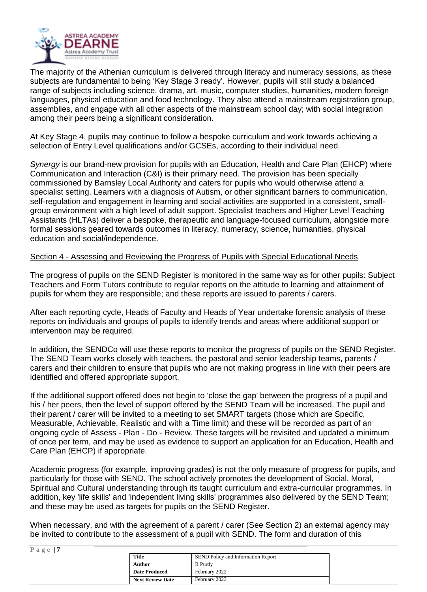

The majority of the Athenian curriculum is delivered through literacy and numeracy sessions, as these subjects are fundamental to being 'Key Stage 3 ready'. However, pupils will still study a balanced range of subjects including science, drama, art, music, computer studies, humanities, modern foreign languages, physical education and food technology. They also attend a mainstream registration group, assemblies, and engage with all other aspects of the mainstream school day; with social integration among their peers being a significant consideration.

At Key Stage 4, pupils may continue to follow a bespoke curriculum and work towards achieving a selection of Entry Level qualifications and/or GCSEs, according to their individual need.

*Synergy* is our brand-new provision for pupils with an Education, Health and Care Plan (EHCP) where Communication and Interaction (C&I) is their primary need. The provision has been specially commissioned by Barnsley Local Authority and caters for pupils who would otherwise attend a specialist setting. Learners with a diagnosis of Autism, or other significant barriers to communication, self-regulation and engagement in learning and social activities are supported in a consistent, smallgroup environment with a high level of adult support. Specialist teachers and Higher Level Teaching Assistants (HLTAs) deliver a bespoke, therapeutic and language-focused curriculum, alongside more formal sessions geared towards outcomes in literacy, numeracy, science, humanities, physical education and social/independence.

#### Section 4 - Assessing and Reviewing the Progress of Pupils with Special Educational Needs

The progress of pupils on the SEND Register is monitored in the same way as for other pupils: Subject Teachers and Form Tutors contribute to regular reports on the attitude to learning and attainment of pupils for whom they are responsible; and these reports are issued to parents / carers.

After each reporting cycle, Heads of Faculty and Heads of Year undertake forensic analysis of these reports on individuals and groups of pupils to identify trends and areas where additional support or intervention may be required.

In addition, the SENDCo will use these reports to monitor the progress of pupils on the SEND Register. The SEND Team works closely with teachers, the pastoral and senior leadership teams, parents / carers and their children to ensure that pupils who are not making progress in line with their peers are identified and offered appropriate support.

If the additional support offered does not begin to 'close the gap' between the progress of a pupil and his / her peers, then the level of support offered by the SEND Team will be increased. The pupil and their parent / carer will be invited to a meeting to set SMART targets (those which are Specific, Measurable, Achievable, Realistic and with a Time limit) and these will be recorded as part of an ongoing cycle of Assess - Plan - Do - Review. These targets will be revisited and updated a minimum of once per term, and may be used as evidence to support an application for an Education, Health and Care Plan (EHCP) if appropriate.

Academic progress (for example, improving grades) is not the only measure of progress for pupils, and particularly for those with SEND. The school actively promotes the development of Social, Moral, Spiritual and Cultural understanding through its taught curriculum and extra-curricular programmes. In addition, key 'life skills' and 'independent living skills' programmes also delivered by the SEND Team; and these may be used as targets for pupils on the SEND Register.

When necessary, and with the agreement of a parent / carer (See Section 2) an external agency may be invited to contribute to the assessment of a pupil with SEND. The form and duration of this

| Page   <b>7</b>         |                                           |
|-------------------------|-------------------------------------------|
| <b>Title</b>            | <b>SEND Policy and Information Report</b> |
| Author                  | R Purdy                                   |
| <b>Date Produced</b>    | February 2022                             |
| <b>Next Review Date</b> | February 2023                             |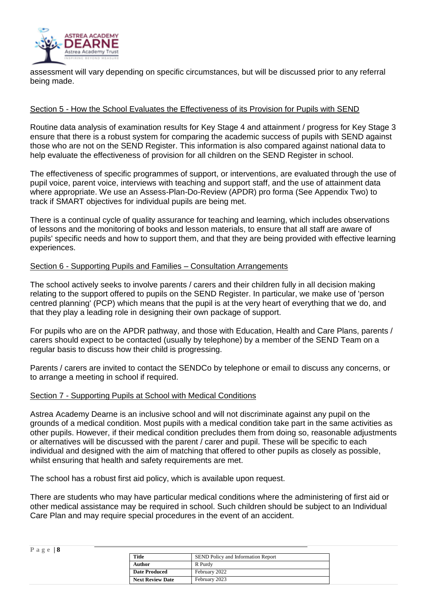

assessment will vary depending on specific circumstances, but will be discussed prior to any referral being made.

#### Section 5 - How the School Evaluates the Effectiveness of its Provision for Pupils with SEND

Routine data analysis of examination results for Key Stage 4 and attainment / progress for Key Stage 3 ensure that there is a robust system for comparing the academic success of pupils with SEND against those who are not on the SEND Register. This information is also compared against national data to help evaluate the effectiveness of provision for all children on the SEND Register in school.

The effectiveness of specific programmes of support, or interventions, are evaluated through the use of pupil voice, parent voice, interviews with teaching and support staff, and the use of attainment data where appropriate. We use an Assess-Plan-Do-Review (APDR) pro forma (See Appendix Two) to track if SMART objectives for individual pupils are being met.

There is a continual cycle of quality assurance for teaching and learning, which includes observations of lessons and the monitoring of books and lesson materials, to ensure that all staff are aware of pupils' specific needs and how to support them, and that they are being provided with effective learning experiences.

#### Section 6 - Supporting Pupils and Families – Consultation Arrangements

The school actively seeks to involve parents / carers and their children fully in all decision making relating to the support offered to pupils on the SEND Register. In particular, we make use of 'person centred planning' (PCP) which means that the pupil is at the very heart of everything that we do, and that they play a leading role in designing their own package of support.

For pupils who are on the APDR pathway, and those with Education, Health and Care Plans, parents / carers should expect to be contacted (usually by telephone) by a member of the SEND Team on a regular basis to discuss how their child is progressing.

Parents / carers are invited to contact the SENDCo by telephone or email to discuss any concerns, or to arrange a meeting in school if required.

#### Section 7 - Supporting Pupils at School with Medical Conditions

Astrea Academy Dearne is an inclusive school and will not discriminate against any pupil on the grounds of a medical condition. Most pupils with a medical condition take part in the same activities as other pupils. However, if their medical condition precludes them from doing so, reasonable adjustments or alternatives will be discussed with the parent / carer and pupil. These will be specific to each individual and designed with the aim of matching that offered to other pupils as closely as possible, whilst ensuring that health and safety requirements are met.

The school has a robust first aid policy, which is available upon request.

There are students who may have particular medical conditions where the administering of first aid or other medical assistance may be required in school. Such children should be subject to an Individual Care Plan and may require special procedures in the event of an accident.

| Page $ 8$ |                         |                                           |
|-----------|-------------------------|-------------------------------------------|
|           | <b>Title</b>            | <b>SEND Policy and Information Report</b> |
|           | <b>Author</b>           | R Purdy                                   |
|           | <b>Date Produced</b>    | February 2022                             |
|           | <b>Next Review Date</b> | February 2023                             |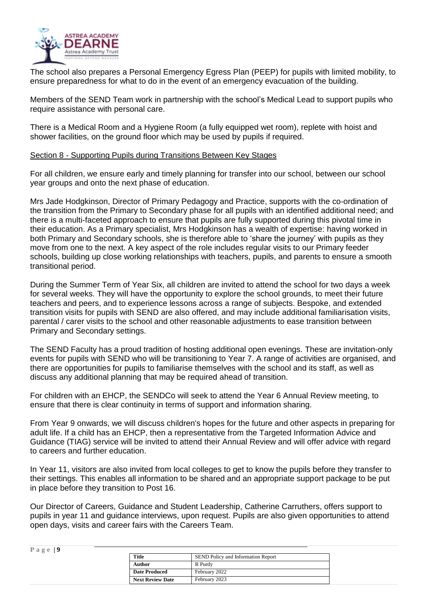

The school also prepares a Personal Emergency Egress Plan (PEEP) for pupils with limited mobility, to ensure preparedness for what to do in the event of an emergency evacuation of the building.

Members of the SEND Team work in partnership with the school's Medical Lead to support pupils who require assistance with personal care.

There is a Medical Room and a Hygiene Room (a fully equipped wet room), replete with hoist and shower facilities, on the ground floor which may be used by pupils if required.

#### Section 8 - Supporting Pupils during Transitions Between Key Stages

For all children, we ensure early and timely planning for transfer into our school, between our school year groups and onto the next phase of education.

Mrs Jade Hodgkinson, Director of Primary Pedagogy and Practice, supports with the co-ordination of the transition from the Primary to Secondary phase for all pupils with an identified additional need; and there is a multi-faceted approach to ensure that pupils are fully supported during this pivotal time in their education. As a Primary specialist, Mrs Hodgkinson has a wealth of expertise: having worked in both Primary and Secondary schools, she is therefore able to 'share the journey' with pupils as they move from one to the next. A key aspect of the role includes regular visits to our Primary feeder schools, building up close working relationships with teachers, pupils, and parents to ensure a smooth transitional period.

During the Summer Term of Year Six, all children are invited to attend the school for two days a week for several weeks. They will have the opportunity to explore the school grounds, to meet their future teachers and peers, and to experience lessons across a range of subjects. Bespoke, and extended transition visits for pupils with SEND are also offered, and may include additional familiarisation visits, parental / carer visits to the school and other reasonable adjustments to ease transition between Primary and Secondary settings.

The SEND Faculty has a proud tradition of hosting additional open evenings. These are invitation-only events for pupils with SEND who will be transitioning to Year 7. A range of activities are organised, and there are opportunities for pupils to familiarise themselves with the school and its staff, as well as discuss any additional planning that may be required ahead of transition.

For children with an EHCP, the SENDCo will seek to attend the Year 6 Annual Review meeting, to ensure that there is clear continuity in terms of support and information sharing.

From Year 9 onwards, we will discuss children's hopes for the future and other aspects in preparing for adult life. If a child has an EHCP, then a representative from the Targeted Information Advice and Guidance (TIAG) service will be invited to attend their Annual Review and will offer advice with regard to careers and further education.

In Year 11, visitors are also invited from local colleges to get to know the pupils before they transfer to their settings. This enables all information to be shared and an appropriate support package to be put in place before they transition to Post 16.

Our Director of Careers, Guidance and Student Leadership, Catherine Carruthers, offers support to pupils in year 11 and guidance interviews, upon request. Pupils are also given opportunities to attend open days, visits and career fairs with the Careers Team.

| Page $ 9$ |                         |                                           |
|-----------|-------------------------|-------------------------------------------|
|           | Title                   | <b>SEND Policy and Information Report</b> |
|           | <b>Author</b>           | R Purdy                                   |
|           | <b>Date Produced</b>    | February 2022                             |
|           | <b>Next Review Date</b> | February 2023                             |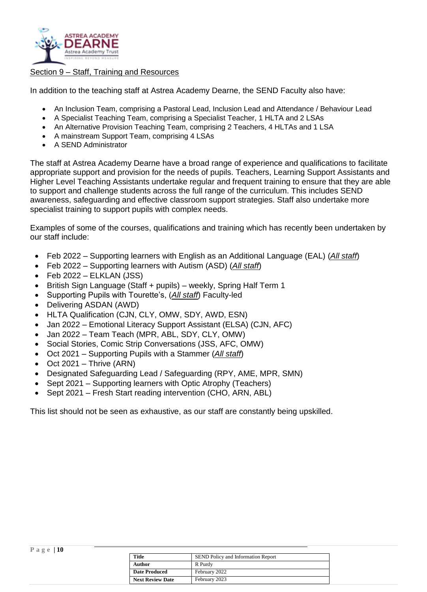

#### Section 9 – Staff, Training and Resources

In addition to the teaching staff at Astrea Academy Dearne, the SEND Faculty also have:

- An Inclusion Team, comprising a Pastoral Lead, Inclusion Lead and Attendance / Behaviour Lead
- A Specialist Teaching Team, comprising a Specialist Teacher, 1 HLTA and 2 LSAs
- An Alternative Provision Teaching Team, comprising 2 Teachers, 4 HLTAs and 1 LSA
- A mainstream Support Team, comprising 4 LSAs
- A SEND Administrator

The staff at Astrea Academy Dearne have a broad range of experience and qualifications to facilitate appropriate support and provision for the needs of pupils. Teachers, Learning Support Assistants and Higher Level Teaching Assistants undertake regular and frequent training to ensure that they are able to support and challenge students across the full range of the curriculum. This includes SEND awareness, safeguarding and effective classroom support strategies. Staff also undertake more specialist training to support pupils with complex needs.

Examples of some of the courses, qualifications and training which has recently been undertaken by our staff include:

- Feb 2022 Supporting learners with English as an Additional Language (EAL) (*All staff*)
- Feb 2022 Supporting learners with Autism (ASD) (*All staff*)
- $\bullet$  Feb 2022 ELKLAN (JSS)
- British Sign Language (Staff + pupils) weekly, Spring Half Term 1
- Supporting Pupils with Tourette's, (*All staff*) Faculty-led
- Delivering ASDAN (AWD)
- HLTA Qualification (CJN, CLY, OMW, SDY, AWD, ESN)
- Jan 2022 Emotional Literacy Support Assistant (ELSA) (CJN, AFC)
- Jan 2022 Team Teach (MPR, ABL, SDY, CLY, OMW)
- Social Stories, Comic Strip Conversations (JSS, AFC, OMW)
- Oct 2021 Supporting Pupils with a Stammer (*All staff*)
- $\bullet$  Oct 2021 Thrive (ARN)
- Designated Safeguarding Lead / Safeguarding (RPY, AME, MPR, SMN)
- Sept 2021 Supporting learners with Optic Atrophy (Teachers)
- Sept 2021 Fresh Start reading intervention (CHO, ARN, ABL)

This list should not be seen as exhaustive, as our staff are constantly being upskilled.

|  | 10 |
|--|----|
|--|----|

| <b>Title</b>            | <b>SEND Policy and Information Report</b> |
|-------------------------|-------------------------------------------|
| Author                  | R Purdy                                   |
| <b>Date Produced</b>    | February 2022                             |
| <b>Next Review Date</b> | February 2023                             |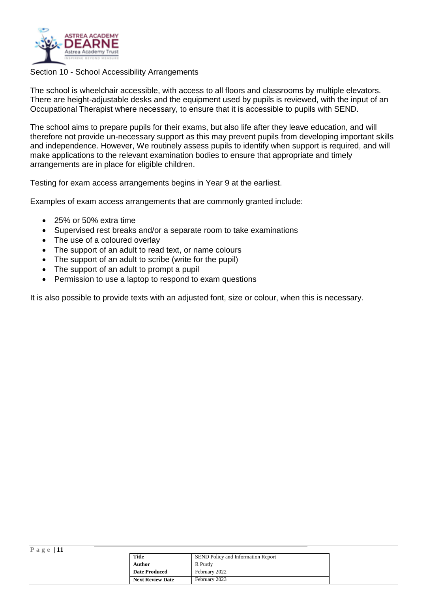

#### Section 10 - School Accessibility Arrangements

The school is wheelchair accessible, with access to all floors and classrooms by multiple elevators. There are height-adjustable desks and the equipment used by pupils is reviewed, with the input of an Occupational Therapist where necessary, to ensure that it is accessible to pupils with SEND.

The school aims to prepare pupils for their exams, but also life after they leave education, and will therefore not provide un-necessary support as this may prevent pupils from developing important skills and independence. However, We routinely assess pupils to identify when support is required, and will make applications to the relevant examination bodies to ensure that appropriate and timely arrangements are in place for eligible children.

Testing for exam access arrangements begins in Year 9 at the earliest.

Examples of exam access arrangements that are commonly granted include:

- 25% or 50% extra time
- Supervised rest breaks and/or a separate room to take examinations
- The use of a coloured overlay
- The support of an adult to read text, or name colours
- The support of an adult to scribe (write for the pupil)
- The support of an adult to prompt a pupil
- Permission to use a laptop to respond to exam questions

It is also possible to provide texts with an adjusted font, size or colour, when this is necessary.

| Page $ 11 $ |                         |                                           |
|-------------|-------------------------|-------------------------------------------|
|             | <b>Title</b>            | <b>SEND Policy and Information Report</b> |
|             | <b>Author</b>           | R Purdy                                   |
|             | <b>Date Produced</b>    | February 2022                             |
|             | <b>Next Review Date</b> | February 2023                             |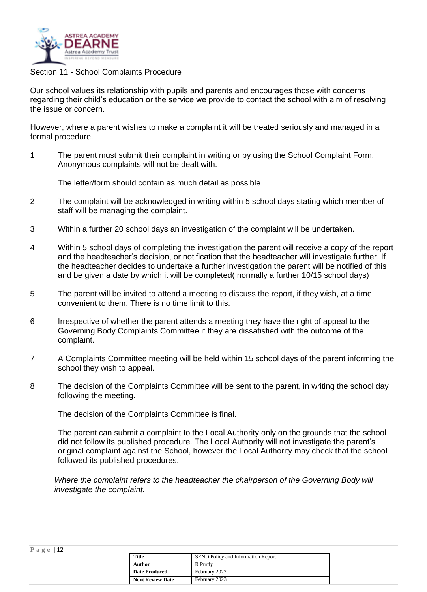

#### Section 11 - School Complaints Procedure

Our school values its relationship with pupils and parents and encourages those with concerns regarding their child's education or the service we provide to contact the school with aim of resolving the issue or concern.

However, where a parent wishes to make a complaint it will be treated seriously and managed in a formal procedure.

1 The parent must submit their complaint in writing or by using the School Complaint Form. Anonymous complaints will not be dealt with.

The letter/form should contain as much detail as possible

- 2 The complaint will be acknowledged in writing within 5 school days stating which member of staff will be managing the complaint.
- 3 Within a further 20 school days an investigation of the complaint will be undertaken.
- 4 Within 5 school days of completing the investigation the parent will receive a copy of the report and the headteacher's decision, or notification that the headteacher will investigate further. If the headteacher decides to undertake a further investigation the parent will be notified of this and be given a date by which it will be completed( normally a further 10/15 school days)
- 5 The parent will be invited to attend a meeting to discuss the report, if they wish, at a time convenient to them. There is no time limit to this.
- 6 Irrespective of whether the parent attends a meeting they have the right of appeal to the Governing Body Complaints Committee if they are dissatisfied with the outcome of the complaint.
- 7 A Complaints Committee meeting will be held within 15 school days of the parent informing the school they wish to appeal.
- 8 The decision of the Complaints Committee will be sent to the parent, in writing the school day following the meeting.

The decision of the Complaints Committee is final.

The parent can submit a complaint to the Local Authority only on the grounds that the school did not follow its published procedure. The Local Authority will not investigate the parent's original complaint against the School, however the Local Authority may check that the school followed its published procedures.

*Where the complaint refers to the headteacher the chairperson of the Governing Body will investigate the complaint.* 

| Page $ 12$ |  |  |  |  |
|------------|--|--|--|--|
|------------|--|--|--|--|

| <b>Title</b>            | <b>SEND Policy and Information Report</b> |
|-------------------------|-------------------------------------------|
| Author                  | R Purdy                                   |
| <b>Date Produced</b>    | February 2022                             |
| <b>Next Review Date</b> | February 2023                             |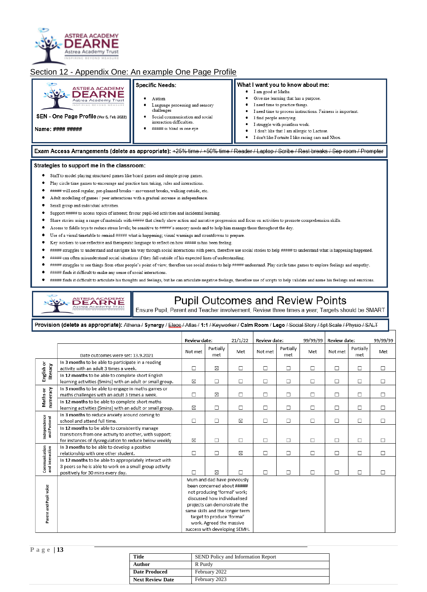

#### Section 12 - Appendix One: An example One Page Profile

| <b>ASTREA ACADEMY</b><br>- 4<br><b>DEARNE</b><br>Astrea Academy Trust<br>INSPIRING REVOND MEASURE<br>SEN - One Page Profile (Ver 5, Feb 2022)<br>Name: #### ##### | Specific Needs:<br>Autism<br>Language processing and sensory<br>challenges<br>Social communication and social<br>interaction difficulties.<br>##### is blind in one eye | What I want you to know about me:<br>I am good at Maths.<br>٠<br>Give me learning that has a purpose.<br>I need time to practice things.<br>I need time to process instructions. Fairness is important.<br>I find people annoying.<br>I struggle with pointless work.<br>I don't like that I am allergic to Lactose.<br>I don't like Fortnite I like racing cars and Xbox. |
|-------------------------------------------------------------------------------------------------------------------------------------------------------------------|-------------------------------------------------------------------------------------------------------------------------------------------------------------------------|----------------------------------------------------------------------------------------------------------------------------------------------------------------------------------------------------------------------------------------------------------------------------------------------------------------------------------------------------------------------------|
|                                                                                                                                                                   |                                                                                                                                                                         | Exam Access Arrangements (delete as appropriate): +25% time / +50% time / Reader / Laptop / Scribe / Rest breaks / Sep room / Prompter                                                                                                                                                                                                                                     |

#### Strategies to support me in the classroom:

- Staff to model playing structured games like board games and simple group games.
- · Play circle time games to encourage and practice turn taking, rules and interactions.
- \* ##### will need regular, pre-planned breaks movement breaks, walking outside, etc.
- Adult modelling of games / peer interactions with a gradual increase in independence.
- Small group and individual activities.
- Support ##### to access topics of interest; favour pupil-led activities and incidental learning.
- Share stories using a range of materials with ##### that clearly show action and narrative progression and focus on activities to promote comprehension skills.
- Access to fiddle toys to reduce stress levels; be sensitive to #####'s sensory needs and to help him manage these throughout the day.
- Use of a visual timetable to remind ##### what is happening; visual warnings and countdowns to prepare.
- Key workers to use reflective and therapeutic language to reflect on how ##### is/has been feeling.
- ##### struggles to understand and navigate his way through social interactions with peers, therefore use social stories to help ##### to understand what is happening/happened.
- ##### can often misunderstand social situations if they fall outside of his expected lines of understanding.
- ##### struggles to see things from other people's point of view, therefore use social stories to help ##### understand. Play circle time games to explore feelings and empathy.
- ##### finds it difficult to make any sense of social interactions.

**DEARNE** 

##### finds it difficult to articulate his thoughts and feelings, but he can articulate negative feelings, therefore use of scripts to help validate and name his feelings and emotions.

**Pupil Outcomes and Review Points**<br>Ensure Pupil, Parent and Teacher involvement; Review three times a year; Targets should be SMART

Provision (delete as appropriate): Athena / Synergy / Eleos / Atlas / 1:1 / Keyworker / Calm Room / Lego / Social Story / 5pt Scale / Physio / SALT

|                                  |                                                                                                                                                                    | <b>Review date:</b> |                                                                                                                                                                                                                                                                                         | 21/1/22 | Review date: |                  | 99/99/99 | <b>Review date:</b> |                  | 99/99/99 |
|----------------------------------|--------------------------------------------------------------------------------------------------------------------------------------------------------------------|---------------------|-----------------------------------------------------------------------------------------------------------------------------------------------------------------------------------------------------------------------------------------------------------------------------------------|---------|--------------|------------------|----------|---------------------|------------------|----------|
|                                  | Date outcomes were set: 13.9.2021                                                                                                                                  | Not met             | Partially<br>met                                                                                                                                                                                                                                                                        | Met     | Not met      | Partially<br>met | Met      | Not met             | Partially<br>met | Met      |
| English or<br>literacy           | In 3 months to be able to participate in a reading<br>activity with an adult 3 times a week.                                                                       | □                   | ⊠                                                                                                                                                                                                                                                                                       | $\Box$  | □            | □                | □        | □                   | $\Box$           | $\Box$   |
|                                  | In 12 months to be able to complete short English<br>learning activities (5mins) with an adult or small group.                                                     | X                   | $\Box$                                                                                                                                                                                                                                                                                  | $\Box$  | $\Box$       | $\Box$           | □        | □                   | $\Box$           | $\Box$   |
| numeracy<br>Maths or             | In 3 months to be able to engage in maths games or<br>maths challenges with an adult 3 times a week.                                                               | $\Box$              | X                                                                                                                                                                                                                                                                                       | $\Box$  | $\Box$       | $\Box$           | $\Box$   | $\Box$              | $\Box$           | $\Box$   |
|                                  | In 12 months to be able to complete short maths<br>learning activities (5mins) with an adult or small group.                                                       | ⊠                   | $\Box$                                                                                                                                                                                                                                                                                  | $\Box$  | $\Box$       | $\Box$           | $\Box$   | $\Box$              | $\Box$           | $\Box$   |
|                                  | In 3 months to reduce anxiety around coming to<br>school and attend full time.                                                                                     | $\Box$              | $\Box$                                                                                                                                                                                                                                                                                  | ⊠       | $\Box$       | $\Box$           | $\Box$   | □                   | $\Box$           | $\Box$   |
| Independence<br>and Pastoral     | In 12 months to be able to consistently manage<br>transitions from one activity to another, with support;<br>for instances of dysregulation to reduce below weekly | ⊠                   | $\Box$                                                                                                                                                                                                                                                                                  | $\Box$  | $\Box$       | $\Box$           | $\Box$   | $\Box$              | $\Box$           | $\Box$   |
|                                  | In 3 months to be able to develop a positive<br>relationship with one other student.                                                                               | $\Box$              | $\Box$                                                                                                                                                                                                                                                                                  | ⊠       | $\Box$       | $\Box$           | $\Box$   | $\Box$              | $\Box$           | $\Box$   |
| Communication<br>and interaction | In 12 months to be able to appropriately interact with<br>3 peers so he is able to work on a small group activity<br>positively for 30 mins every day.             | П                   | ⊠                                                                                                                                                                                                                                                                                       | П       | $\Box$       | □                | П        | $\Box$              | П                | П        |
| Parent and Pupil voice           |                                                                                                                                                                    |                     | Mum and dad have previously<br>been concerned about #####<br>not producing 'formal' work;<br>discussed how individualised<br>projects can demonstrate the<br>same skills and the longer term<br>target to produce 'formal'<br>work. Agreed the massive<br>success with developing SEMH. |         |              |                  |          |                     |                  |          |

#### **P a g e | 13**

| Title                   | SEND Policy and Information Report |
|-------------------------|------------------------------------|
| Author                  | R Purdy                            |
| <b>Date Produced</b>    | February 2022                      |
| <b>Next Review Date</b> | February 2023                      |